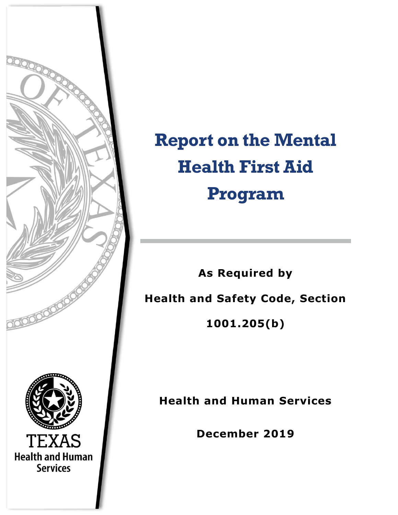

# **Report on the Mental Health First Aid Program**

**As Required by Health and Safety Code, Section 1001.205(b)**

**Health and Human Services**

**December 2019**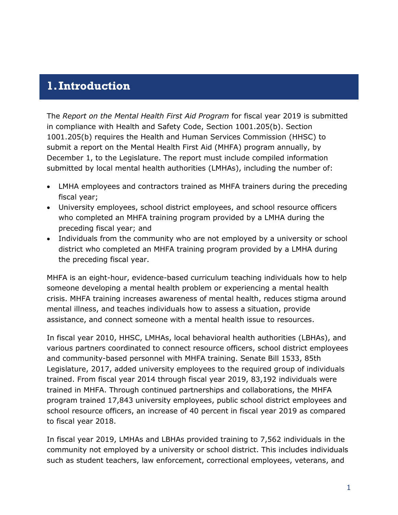### **1.Introduction**

The *Report on the Mental Health First Aid Program* for fiscal year 2019 is submitted in compliance with Health and Safety Code, Section 1001.205(b). Section 1001.205(b) requires the Health and Human Services Commission (HHSC) to submit a report on the Mental Health First Aid (MHFA) program annually, by December 1, to the Legislature. The report must include compiled information submitted by local mental health authorities (LMHAs), including the number of:

- LMHA employees and contractors trained as MHFA trainers during the preceding fiscal year;
- University employees, school district employees, and school resource officers who completed an MHFA training program provided by a LMHA during the preceding fiscal year; and
- Individuals from the community who are not employed by a university or school district who completed an MHFA training program provided by a LMHA during the preceding fiscal year.

MHFA is an eight-hour, evidence-based curriculum teaching individuals how to help someone developing a mental health problem or experiencing a mental health crisis. MHFA training increases awareness of mental health, reduces stigma around mental illness, and teaches individuals how to assess a situation, provide assistance, and connect someone with a mental health issue to resources.

In fiscal year 2010, HHSC, LMHAs, local behavioral health authorities (LBHAs), and various partners coordinated to connect resource officers, school district employees and community-based personnel with MHFA training. Senate Bill 1533, 85th Legislature, 2017, added university employees to the required group of individuals trained. From fiscal year 2014 through fiscal year 2019, 83,192 individuals were trained in MHFA. Through continued partnerships and collaborations, the MHFA program trained 17,843 university employees, public school district employees and school resource officers, an increase of 40 percent in fiscal year 2019 as compared to fiscal year 2018.

In fiscal year 2019, LMHAs and LBHAs provided training to 7,562 individuals in the community not employed by a university or school district. This includes individuals such as student teachers, law enforcement, correctional employees, veterans, and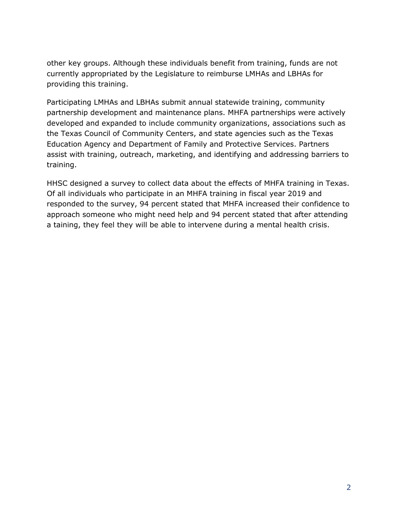other key groups. Although these individuals benefit from training, funds are not currently appropriated by the Legislature to reimburse LMHAs and LBHAs for providing this training.

Participating LMHAs and LBHAs submit annual statewide training, community partnership development and maintenance plans. MHFA partnerships were actively developed and expanded to include community organizations, associations such as the Texas Council of Community Centers, and state agencies such as the Texas Education Agency and Department of Family and Protective Services. Partners assist with training, outreach, marketing, and identifying and addressing barriers to training.

HHSC designed a survey to collect data about the effects of MHFA training in Texas. Of all individuals who participate in an MHFA training in fiscal year 2019 and responded to the survey, 94 percent stated that MHFA increased their confidence to approach someone who might need help and 94 percent stated that after attending a taining, they feel they will be able to intervene during a mental health crisis.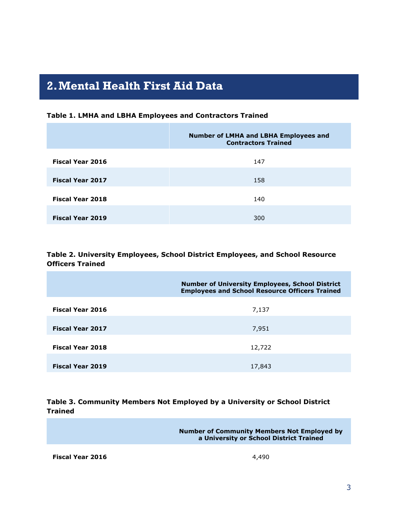## **2.Mental Health First Aid Data**

| Table 1. LMHA and LBHA Employees and Contractors Trained |  |  |  |
|----------------------------------------------------------|--|--|--|
|----------------------------------------------------------|--|--|--|

|                         | <b>Number of LMHA and LBHA Employees and</b><br><b>Contractors Trained</b> |
|-------------------------|----------------------------------------------------------------------------|
| <b>Fiscal Year 2016</b> | 147                                                                        |
| <b>Fiscal Year 2017</b> | 158                                                                        |
| <b>Fiscal Year 2018</b> | 140                                                                        |
| <b>Fiscal Year 2019</b> | 300                                                                        |

#### **Table 2. University Employees, School District Employees, and School Resource Officers Trained**

|                         | <b>Number of University Employees, School District</b><br><b>Employees and School Resource Officers Trained</b> |
|-------------------------|-----------------------------------------------------------------------------------------------------------------|
| <b>Fiscal Year 2016</b> | 7,137                                                                                                           |
| <b>Fiscal Year 2017</b> | 7,951                                                                                                           |
| <b>Fiscal Year 2018</b> | 12,722                                                                                                          |
| Fiscal Year 2019        | 17,843                                                                                                          |

#### **Table 3. Community Members Not Employed by a University or School District Trained**

**Number of Community Members Not Employed by a University or School District Trained**

**Fiscal Year 2016** 4,490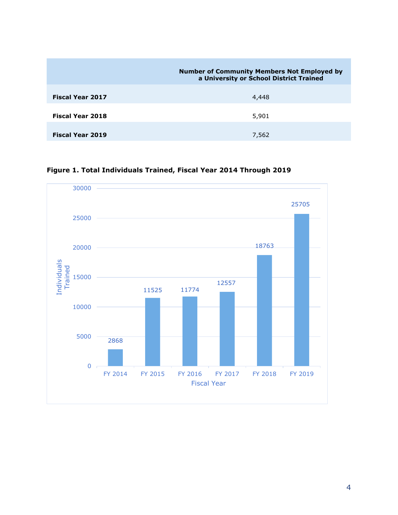|                         | <b>Number of Community Members Not Employed by</b><br>a University or School District Trained |
|-------------------------|-----------------------------------------------------------------------------------------------|
| <b>Fiscal Year 2017</b> | 4,448                                                                                         |
| <b>Fiscal Year 2018</b> | 5,901                                                                                         |
| <b>Fiscal Year 2019</b> | 7,562                                                                                         |

**Figure 1. Total Individuals Trained, Fiscal Year 2014 Through 2019**